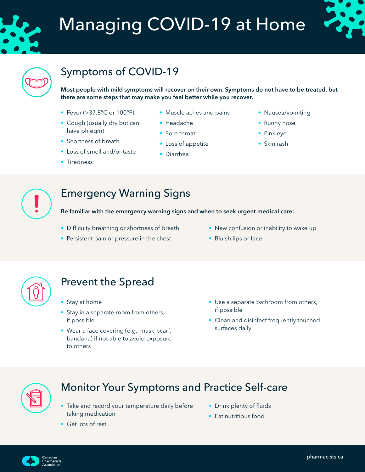

# Managing COVID-19 at Home





# Symptoms of COVID-19

Most people with mild symptoms will recover on their own. Symptoms do not have to be treated, but there are some steps that may make you feel better while you recover.

- Fever (>37.8°C or 100°F)
- Cough (usually dry but can have phlegm)
- Shortness of breath
- Loss of smell and/or taste
- Tiredness
- Muscle aches and pains
- Headache
- Sore throat
- Loss of appetite
- Diarrhea
- Nausea/vomiting
- Runny nose
- Pink eye
- Skin rash



# Emergency Warning Signs

Be familiar with the emergency warning signs and when to seek urgent medical care:

- Difficulty breathing or shortness of breath
- Persistent pain or pressure in the chest
- New confusion or inability to wake up
- Bluish lips or face



# Prevent the Spread

- Stay at home
- Stay in a separate room from others, if possible
- Wear a face covering (e.g., mask, scarf, bandana) if not able to avoid exposure to others
- Use a separate bathroom from others, if possible
- Clean and disinfect frequently touched surfaces daily



### Monitor Your Symptoms and Practice Self-care

- Take and record your temperature daily before taking medication
- Drink plenty of fluids
- Eat nutritious food

• Get lots of rest